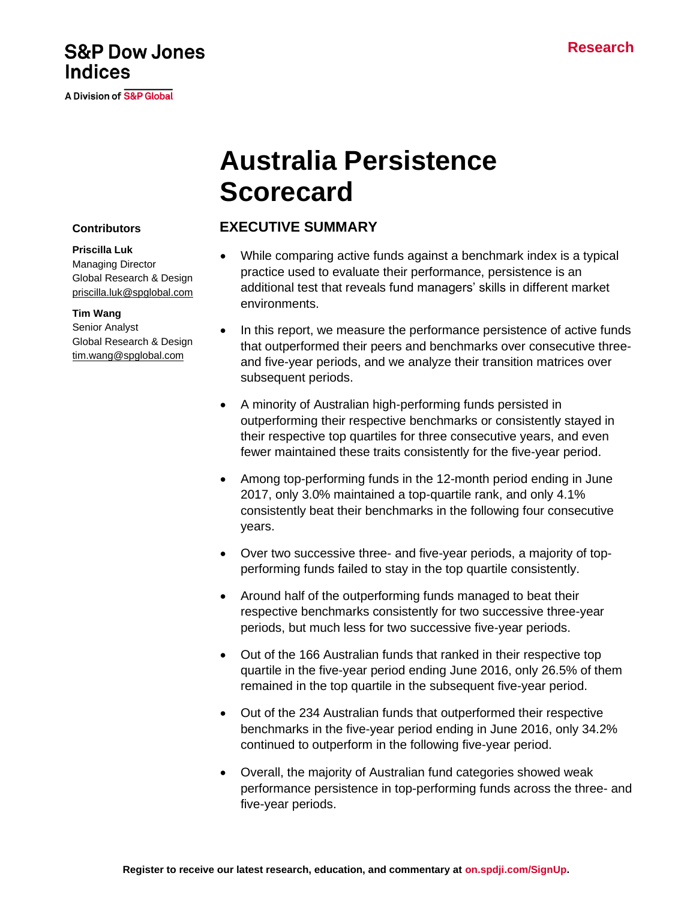# **S&P Dow Jones Indices**

A Division of S&P Global

# **Australia Persistence Scorecard**

## **EXECUTIVE SUMMARY**

- While comparing active funds against a benchmark index is a typical practice used to evaluate their performance, persistence is an additional test that reveals fund managers' skills in different market environments.
- In this report, we measure the performance persistence of active funds that outperformed their peers and benchmarks over consecutive threeand five-year periods, and we analyze their transition matrices over subsequent periods.
- A minority of Australian high-performing funds persisted in outperforming their respective benchmarks or consistently stayed in their respective top quartiles for three consecutive years, and even fewer maintained these traits consistently for the five-year period.
- Among top-performing funds in the 12-month period ending in June 2017, only 3.0% maintained a top-quartile rank, and only 4.1% consistently beat their benchmarks in the following four consecutive years.
- Over two successive three- and five-year periods, a majority of topperforming funds failed to stay in the top quartile consistently.
- Around half of the outperforming funds managed to beat their respective benchmarks consistently for two successive three-year periods, but much less for two successive five-year periods.
- Out of the 166 Australian funds that ranked in their respective top quartile in the five-year period ending June 2016, only 26.5% of them remained in the top quartile in the subsequent five-year period.
- Out of the 234 Australian funds that outperformed their respective benchmarks in the five-year period ending in June 2016, only 34.2% continued to outperform in the following five-year period.
- Overall, the majority of Australian fund categories showed weak performance persistence in top-performing funds across the three- and five-year periods.

#### **Contributors**

**Priscilla Luk** Managing Director Global Research & Design [priscilla.luk@spglobal.com](mailto:priscilla.luk@spglobal.com)

#### **Tim Wang**

Senior Analyst Global Research & Design [tim.wang@spglobal.com](mailto:tim.wang@spglobal.com)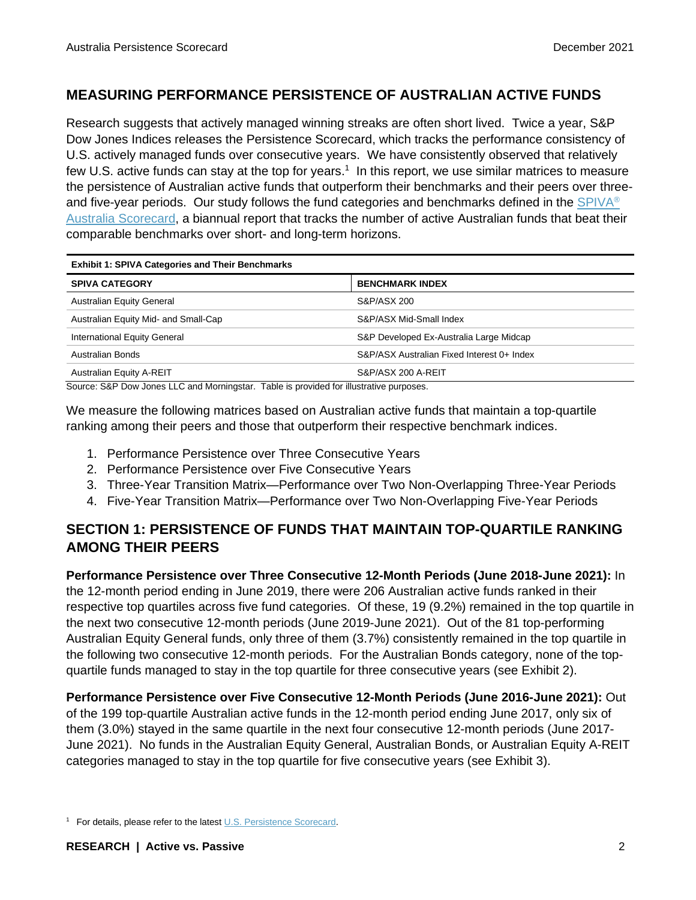#### **MEASURING PERFORMANCE PERSISTENCE OF AUSTRALIAN ACTIVE FUNDS**

Research suggests that actively managed winning streaks are often short lived. Twice a year, S&P Dow Jones Indices releases the Persistence Scorecard, which tracks the performance consistency of U.S. actively managed funds over consecutive years. We have consistently observed that relatively few U.S. active funds can stay at the top for years.<sup>1</sup> In this report, we use similar matrices to measure the persistence of Australian active funds that outperform their benchmarks and their peers over three-and five-year periods. Our study follows the fund categories and benchmarks defined in the [SPIVA](https://www.spglobal.com/spdji/en/spiva/article/spiva-australia/?utm_source=pdf_spiva)<sup>®</sup> [Australia Scorecard,](https://www.spglobal.com/spdji/en/spiva/article/spiva-australia/?utm_source=pdf_spiva) a biannual report that tracks the number of active Australian funds that beat their comparable benchmarks over short- and long-term horizons.

| <b>Exhibit 1: SPIVA Categories and Their Benchmarks</b> |                                            |  |  |  |
|---------------------------------------------------------|--------------------------------------------|--|--|--|
| <b>SPIVA CATEGORY</b>                                   | <b>BENCHMARK INDEX</b>                     |  |  |  |
| <b>Australian Equity General</b>                        | S&P/ASX 200                                |  |  |  |
| Australian Equity Mid- and Small-Cap                    | S&P/ASX Mid-Small Index                    |  |  |  |
| International Equity General                            | S&P Developed Ex-Australia Large Midcap    |  |  |  |
| Australian Bonds                                        | S&P/ASX Australian Fixed Interest 0+ Index |  |  |  |
| <b>Australian Equity A-REIT</b>                         | S&P/ASX 200 A-REIT                         |  |  |  |

Source: S&P Dow Jones LLC and Morningstar. Table is provided for illustrative purposes.

We measure the following matrices based on Australian active funds that maintain a top-quartile ranking among their peers and those that outperform their respective benchmark indices.

- 1. Performance Persistence over Three Consecutive Years
- 2. Performance Persistence over Five Consecutive Years
- 3. Three-Year Transition Matrix—Performance over Two Non-Overlapping Three-Year Periods
- 4. Five-Year Transition Matrix—Performance over Two Non-Overlapping Five-Year Periods

## **SECTION 1: PERSISTENCE OF FUNDS THAT MAINTAIN TOP-QUARTILE RANKING AMONG THEIR PEERS**

**Performance Persistence over Three Consecutive 12-Month Periods (June 2018-June 2021):** In the 12-month period ending in June 2019, there were 206 Australian active funds ranked in their respective top quartiles across five fund categories. Of these, 19 (9.2%) remained in the top quartile in the next two consecutive 12-month periods (June 2019-June 2021). Out of the 81 top-performing Australian Equity General funds, only three of them (3.7%) consistently remained in the top quartile in the following two consecutive 12-month periods. For the Australian Bonds category, none of the topquartile funds managed to stay in the top quartile for three consecutive years (see Exhibit 2).

#### **Performance Persistence over Five Consecutive 12-Month Periods (June 2016-June 2021):** Out

of the 199 top-quartile Australian active funds in the 12-month period ending June 2017, only six of them (3.0%) stayed in the same quartile in the next four consecutive 12-month periods (June 2017- June 2021). No funds in the Australian Equity General, Australian Bonds, or Australian Equity A-REIT categories managed to stay in the top quartile for five consecutive years (see Exhibit 3).

<sup>1</sup> For details, please refer to the latest [U.S. Persistence Scorecard.](https://www.spglobal.com/spdji/en/spiva/article/us-persistence-scorecard/?utm_source=pdf_spiva)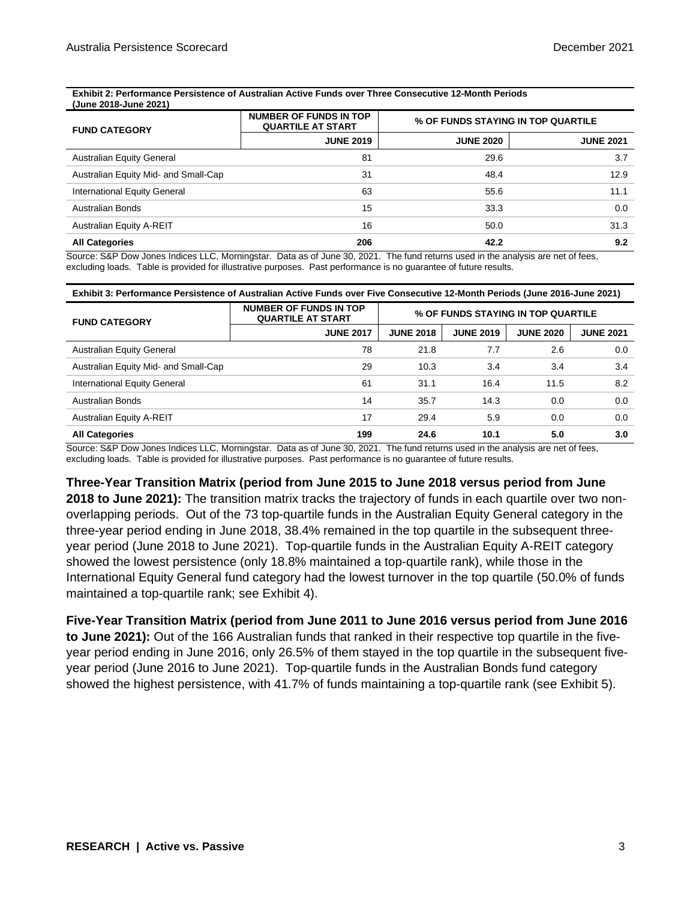#### **Exhibit 2: Performance Persistence of Australian Active Funds over Three Consecutive 12-Month Periods (June 2018-June 2021)**

| <b>FUND CATEGORY</b>                 | <b>NUMBER OF FUNDS IN TOP</b><br><b>QUARTILE AT START</b> |                  | % OF FUNDS STAYING IN TOP QUARTILE |  |  |
|--------------------------------------|-----------------------------------------------------------|------------------|------------------------------------|--|--|
|                                      | <b>JUNE 2019</b>                                          | <b>JUNE 2020</b> | <b>JUNE 2021</b>                   |  |  |
| <b>Australian Equity General</b>     | 81                                                        | 29.6             | 3.7                                |  |  |
| Australian Equity Mid- and Small-Cap | 31                                                        | 48.4             | 12.9                               |  |  |
| International Equity General         | 63                                                        | 55.6             | 11.1                               |  |  |
| <b>Australian Bonds</b>              | 15                                                        | 33.3             | 0.0                                |  |  |
| <b>Australian Equity A-REIT</b>      | 16                                                        | 50.0             | 31.3                               |  |  |
| <b>All Categories</b>                | 206                                                       | 42.2             | 9.2                                |  |  |

Source: S&P Dow Jones Indices LLC, Morningstar. Data as of June 30, 2021. The fund returns used in the analysis are net of fees, excluding loads. Table is provided for illustrative purposes. Past performance is no guarantee of future results.

| Exhibit 3: Performance Persistence of Australian Active Funds over Five Consecutive 12-Month Periods (June 2016-June 2021) |                                                           |                                    |                  |                  |                  |  |
|----------------------------------------------------------------------------------------------------------------------------|-----------------------------------------------------------|------------------------------------|------------------|------------------|------------------|--|
| <b>FUND CATEGORY</b>                                                                                                       | <b>NUMBER OF FUNDS IN TOP</b><br><b>QUARTILE AT START</b> | % OF FUNDS STAYING IN TOP QUARTILE |                  |                  |                  |  |
|                                                                                                                            | <b>JUNE 2017</b>                                          | <b>JUNE 2018</b>                   | <b>JUNE 2019</b> | <b>JUNE 2020</b> | <b>JUNE 2021</b> |  |
| <b>Australian Equity General</b>                                                                                           | 78                                                        | 21.8                               | 7.7              | 2.6              | 0.0              |  |
| Australian Equity Mid- and Small-Cap                                                                                       | 29                                                        | 10.3                               | 3.4              | 3.4              | 3.4              |  |
| International Equity General                                                                                               | 61                                                        | 31.1                               | 16.4             | 11.5             | 8.2              |  |
| Australian Bonds                                                                                                           | 14                                                        | 35.7                               | 14.3             | 0.0              | 0.0              |  |
| Australian Equity A-REIT                                                                                                   | 17                                                        | 29.4                               | 5.9              | 0.0              | 0.0              |  |
| 5.0<br><b>All Categories</b><br>199<br>24.6<br>10.1                                                                        |                                                           |                                    |                  |                  | 3.0              |  |

Source: S&P Dow Jones Indices LLC, Morningstar. Data as of June 30, 2021. The fund returns used in the analysis are net of fees, excluding loads. Table is provided for illustrative purposes. Past performance is no guarantee of future results.

#### **Three-Year Transition Matrix (period from June 2015 to June 2018 versus period from June**

**2018 to June 2021):** The transition matrix tracks the trajectory of funds in each quartile over two nonoverlapping periods. Out of the 73 top-quartile funds in the Australian Equity General category in the three-year period ending in June 2018, 38.4% remained in the top quartile in the subsequent threeyear period (June 2018 to June 2021). Top-quartile funds in the Australian Equity A-REIT category showed the lowest persistence (only 18.8% maintained a top-quartile rank), while those in the International Equity General fund category had the lowest turnover in the top quartile (50.0% of funds maintained a top-quartile rank; see Exhibit 4).

**Five-Year Transition Matrix (period from June 2011 to June 2016 versus period from June 2016 to June 2021):** Out of the 166 Australian funds that ranked in their respective top quartile in the fiveyear period ending in June 2016, only 26.5% of them stayed in the top quartile in the subsequent fiveyear period (June 2016 to June 2021). Top-quartile funds in the Australian Bonds fund category showed the highest persistence, with 41.7% of funds maintaining a top-quartile rank (see Exhibit 5).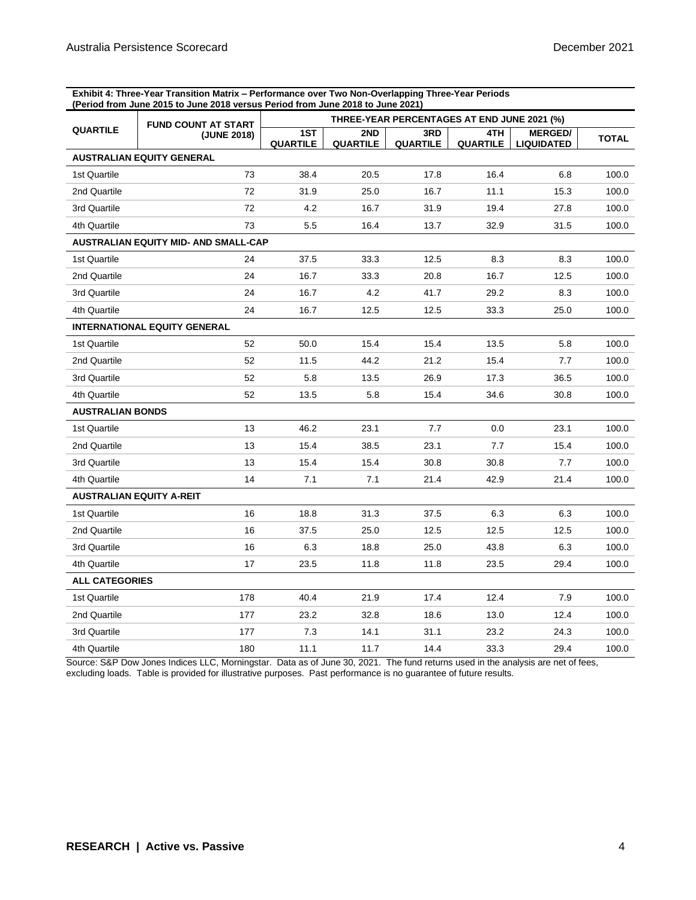**Exhibit 4: Three-Year Transition Matrix – Performance over Two Non-Overlapping Three-Year Periods (Period from June 2015 to June 2018 versus Period from June 2018 to June 2021)**

|                                 | <b>FUND COUNT AT START</b>           | THREE-YEAR PERCENTAGES AT END JUNE 2021 (%) |                        |                        |                        |                                     |              |
|---------------------------------|--------------------------------------|---------------------------------------------|------------------------|------------------------|------------------------|-------------------------------------|--------------|
| <b>QUARTILE</b>                 | (JUNE 2018)                          | 1ST<br><b>QUARTILE</b>                      | 2ND<br><b>QUARTILE</b> | 3RD<br><b>QUARTILE</b> | 4TH<br><b>QUARTILE</b> | <b>MERGED/</b><br><b>LIQUIDATED</b> | <b>TOTAL</b> |
|                                 | <b>AUSTRALIAN EQUITY GENERAL</b>     |                                             |                        |                        |                        |                                     |              |
| 1st Quartile                    | 73                                   | 38.4                                        | 20.5                   | 17.8                   | 16.4                   | 6.8                                 | 100.0        |
| 2nd Quartile                    | 72                                   | 31.9                                        | 25.0                   | 16.7                   | 11.1                   | 15.3                                | 100.0        |
| 3rd Quartile                    | 72                                   | 4.2                                         | 16.7                   | 31.9                   | 19.4                   | 27.8                                | 100.0        |
| 4th Quartile                    | 73                                   | 5.5                                         | 16.4                   | 13.7                   | 32.9                   | 31.5                                | 100.0        |
|                                 | AUSTRALIAN EQUITY MID- AND SMALL-CAP |                                             |                        |                        |                        |                                     |              |
| 1st Quartile                    | 24                                   | 37.5                                        | 33.3                   | 12.5                   | 8.3                    | 8.3                                 | 100.0        |
| 2nd Quartile                    | 24                                   | 16.7                                        | 33.3                   | 20.8                   | 16.7                   | 12.5                                | 100.0        |
| 3rd Quartile                    | 24                                   | 16.7                                        | 4.2                    | 41.7                   | 29.2                   | 8.3                                 | 100.0        |
| 4th Quartile                    | 24                                   | 16.7                                        | 12.5                   | 12.5                   | 33.3                   | 25.0                                | 100.0        |
|                                 | <b>INTERNATIONAL EQUITY GENERAL</b>  |                                             |                        |                        |                        |                                     |              |
| 1st Quartile                    | 52                                   | 50.0                                        | 15.4                   | 15.4                   | 13.5                   | 5.8                                 | 100.0        |
| 2nd Quartile                    | 52                                   | 11.5                                        | 44.2                   | 21.2                   | 15.4                   | 7.7                                 | 100.0        |
| 3rd Quartile                    | 52                                   | 5.8                                         | 13.5                   | 26.9                   | 17.3                   | 36.5                                | 100.0        |
| 4th Quartile                    | 52                                   | 13.5                                        | 5.8                    | 15.4                   | 34.6                   | 30.8                                | 100.0        |
| <b>AUSTRALIAN BONDS</b>         |                                      |                                             |                        |                        |                        |                                     |              |
| 1st Quartile                    | 13                                   | 46.2                                        | 23.1                   | 7.7                    | 0.0                    | 23.1                                | 100.0        |
| 2nd Quartile                    | 13                                   | 15.4                                        | 38.5                   | 23.1                   | 7.7                    | 15.4                                | 100.0        |
| 3rd Quartile                    | 13                                   | 15.4                                        | 15.4                   | 30.8                   | 30.8                   | 7.7                                 | 100.0        |
| 4th Quartile                    | 14                                   | 7.1                                         | 7.1                    | 21.4                   | 42.9                   | 21.4                                | 100.0        |
| <b>AUSTRALIAN EQUITY A-REIT</b> |                                      |                                             |                        |                        |                        |                                     |              |
| 1st Quartile                    | 16                                   | 18.8                                        | 31.3                   | 37.5                   | 6.3                    | 6.3                                 | 100.0        |
| 2nd Quartile                    | 16                                   | 37.5                                        | 25.0                   | 12.5                   | 12.5                   | 12.5                                | 100.0        |
| 3rd Quartile                    | 16                                   | 6.3                                         | 18.8                   | 25.0                   | 43.8                   | 6.3                                 | 100.0        |
| 4th Quartile                    | 17                                   | 23.5                                        | 11.8                   | 11.8                   | 23.5                   | 29.4                                | 100.0        |
| <b>ALL CATEGORIES</b>           |                                      |                                             |                        |                        |                        |                                     |              |
| 1st Quartile                    | 178                                  | 40.4                                        | 21.9                   | 17.4                   | 12.4                   | 7.9                                 | 100.0        |
| 2nd Quartile                    | 177                                  | 23.2                                        | 32.8                   | 18.6                   | 13.0                   | 12.4                                | 100.0        |
| 3rd Quartile                    | 177                                  | 7.3                                         | 14.1                   | 31.1                   | 23.2                   | 24.3                                | 100.0        |
| 4th Quartile                    | 180                                  | 11.1                                        | 11.7                   | 14.4                   | 33.3                   | 29.4                                | 100.0        |

Source: S&P Dow Jones Indices LLC, Morningstar. Data as of June 30, 2021. The fund returns used in the analysis are net of fees, excluding loads. Table is provided for illustrative purposes. Past performance is no guarantee of future results.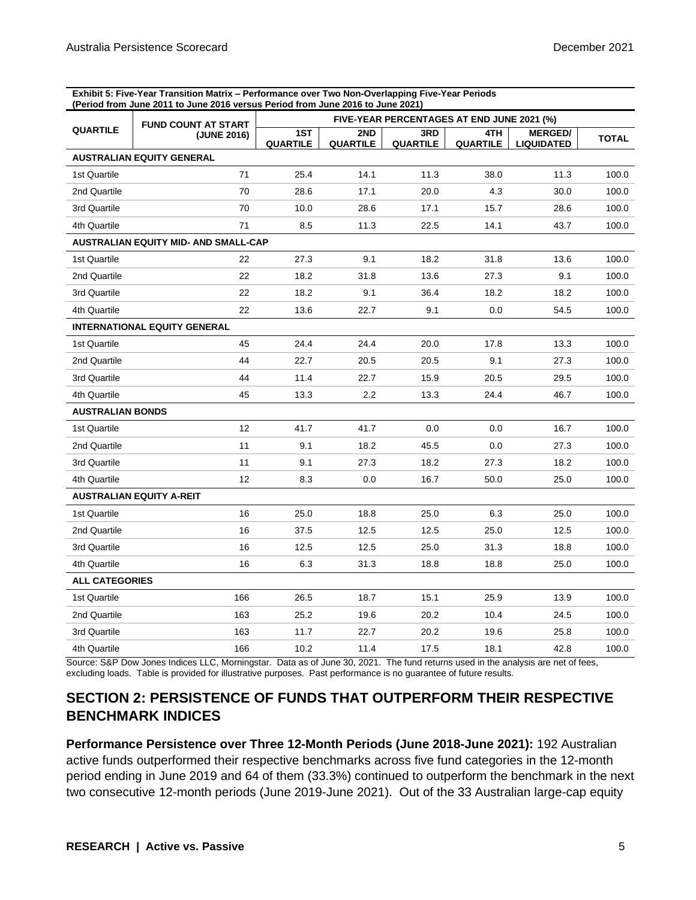**Exhibit 5: Five-Year Transition Matrix – Performance over Two Non-Overlapping Five-Year Periods (Period from June 2011 to June 2016 versus Period from June 2016 to June 2021)**

|                         | <b>FUND COUNT AT START</b>                  | FIVE-YEAR PERCENTAGES AT END JUNE 2021 (%) |                 |                        |                        |                                     |              |
|-------------------------|---------------------------------------------|--------------------------------------------|-----------------|------------------------|------------------------|-------------------------------------|--------------|
| <b>QUARTILE</b>         | (JUNE 2016)                                 | 1ST<br><b>QUARTILE</b>                     | 2ND<br>QUARTILE | 3RD<br><b>QUARTILE</b> | 4TH<br><b>QUARTILE</b> | <b>MERGED/</b><br><b>LIQUIDATED</b> | <b>TOTAL</b> |
|                         | <b>AUSTRALIAN EQUITY GENERAL</b>            |                                            |                 |                        |                        |                                     |              |
| 1st Quartile            | 71                                          | 25.4                                       | 14.1            | 11.3                   | 38.0                   | 11.3                                | 100.0        |
| 2nd Quartile            | 70                                          | 28.6                                       | 17.1            | 20.0                   | 4.3                    | 30.0                                | 100.0        |
| 3rd Quartile            | 70                                          | 10.0                                       | 28.6            | 17.1                   | 15.7                   | 28.6                                | 100.0        |
| 4th Quartile            | 71                                          | 8.5                                        | 11.3            | 22.5                   | 14.1                   | 43.7                                | 100.0        |
|                         | <b>AUSTRALIAN EQUITY MID- AND SMALL-CAP</b> |                                            |                 |                        |                        |                                     |              |
| 1st Quartile            | 22                                          | 27.3                                       | 9.1             | 18.2                   | 31.8                   | 13.6                                | 100.0        |
| 2nd Quartile            | 22                                          | 18.2                                       | 31.8            | 13.6                   | 27.3                   | 9.1                                 | 100.0        |
| 3rd Quartile            | 22                                          | 18.2                                       | 9.1             | 36.4                   | 18.2                   | 18.2                                | 100.0        |
| 4th Quartile            | 22                                          | 13.6                                       | 22.7            | 9.1                    | 0.0                    | 54.5                                | 100.0        |
|                         | <b>INTERNATIONAL EQUITY GENERAL</b>         |                                            |                 |                        |                        |                                     |              |
| 1st Quartile            | 45                                          | 24.4                                       | 24.4            | 20.0                   | 17.8                   | 13.3                                | 100.0        |
| 2nd Quartile            | 44                                          | 22.7                                       | 20.5            | 20.5                   | 9.1                    | 27.3                                | 100.0        |
| 3rd Quartile            | 44                                          | 11.4                                       | 22.7            | 15.9                   | 20.5                   | 29.5                                | 100.0        |
| 4th Quartile            | 45                                          | 13.3                                       | 2.2             | 13.3                   | 24.4                   | 46.7                                | 100.0        |
| <b>AUSTRALIAN BONDS</b> |                                             |                                            |                 |                        |                        |                                     |              |
| 1st Quartile            | 12                                          | 41.7                                       | 41.7            | 0.0                    | 0.0                    | 16.7                                | 100.0        |
| 2nd Quartile            | 11                                          | 9.1                                        | 18.2            | 45.5                   | 0.0                    | 27.3                                | 100.0        |
| 3rd Quartile            | 11                                          | 9.1                                        | 27.3            | 18.2                   | 27.3                   | 18.2                                | 100.0        |
| 4th Quartile            | $12 \overline{ }$                           | 8.3                                        | 0.0             | 16.7                   | 50.0                   | 25.0                                | 100.0        |
|                         | <b>AUSTRALIAN EQUITY A-REIT</b>             |                                            |                 |                        |                        |                                     |              |
| 1st Quartile            | 16                                          | 25.0                                       | 18.8            | 25.0                   | 6.3                    | 25.0                                | 100.0        |
| 2nd Quartile            | 16                                          | 37.5                                       | 12.5            | 12.5                   | 25.0                   | 12.5                                | 100.0        |
| 3rd Quartile            | 16                                          | 12.5                                       | 12.5            | 25.0                   | 31.3                   | 18.8                                | 100.0        |
| 4th Quartile            | 16                                          | 6.3                                        | 31.3            | 18.8                   | 18.8                   | 25.0                                | 100.0        |
| <b>ALL CATEGORIES</b>   |                                             |                                            |                 |                        |                        |                                     |              |
| 1st Quartile            | 166                                         | 26.5                                       | 18.7            | 15.1                   | 25.9                   | 13.9                                | 100.0        |
| 2nd Quartile            | 163                                         | 25.2                                       | 19.6            | 20.2                   | 10.4                   | 24.5                                | 100.0        |
| 3rd Quartile            | 163                                         | 11.7                                       | 22.7            | 20.2                   | 19.6                   | 25.8                                | 100.0        |
| 4th Quartile            | 166                                         | 10.2                                       | 11.4            | 17.5                   | 18.1                   | 42.8                                | 100.0        |

Source: S&P Dow Jones Indices LLC, Morningstar. Data as of June 30, 2021. The fund returns used in the analysis are net of fees, excluding loads. Table is provided for illustrative purposes. Past performance is no guarantee of future results.

## **SECTION 2: PERSISTENCE OF FUNDS THAT OUTPERFORM THEIR RESPECTIVE BENCHMARK INDICES**

**Performance Persistence over Three 12-Month Periods (June 2018-June 2021):** 192 Australian active funds outperformed their respective benchmarks across five fund categories in the 12-month period ending in June 2019 and 64 of them (33.3%) continued to outperform the benchmark in the next two consecutive 12-month periods (June 2019-June 2021). Out of the 33 Australian large-cap equity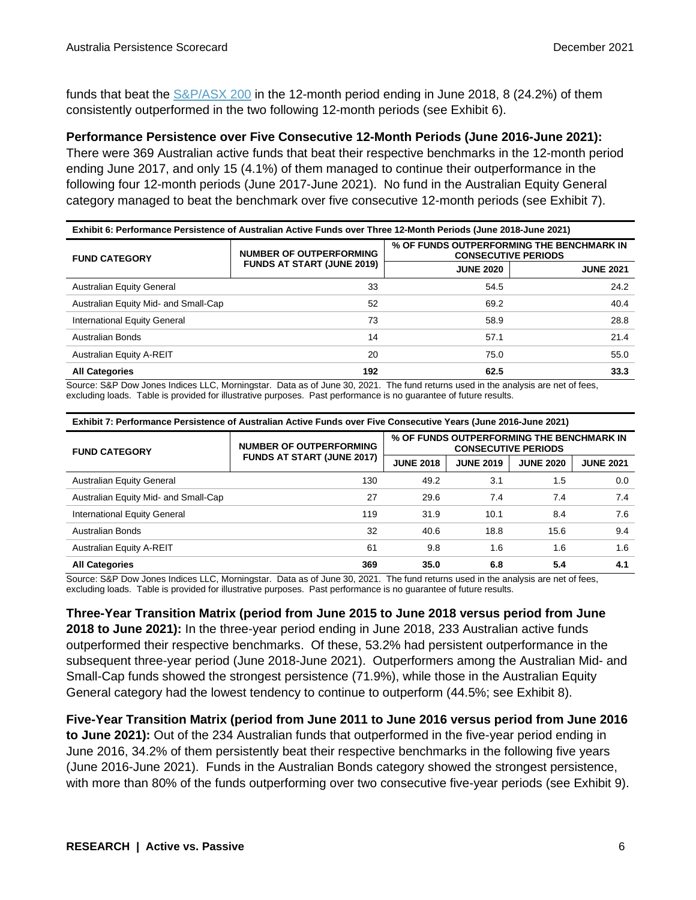funds that beat the [S&P/ASX 200](http://spdji.com/indices/equity/sp-asx-200?utm_source=pdf_spiva) in the 12-month period ending in June 2018, 8 (24.2%) of them consistently outperformed in the two following 12-month periods (see Exhibit 6).

**Performance Persistence over Five Consecutive 12-Month Periods (June 2016-June 2021):**

There were 369 Australian active funds that beat their respective benchmarks in the 12-month period ending June 2017, and only 15 (4.1%) of them managed to continue their outperformance in the following four 12-month periods (June 2017-June 2021). No fund in the Australian Equity General category managed to beat the benchmark over five consecutive 12-month periods (see Exhibit 7).

| Exhibit 6: Performance Persistence of Australian Active Funds over Three 12-Month Periods (June 2018-June 2021) |                                                                     |                                                                         |                  |  |  |
|-----------------------------------------------------------------------------------------------------------------|---------------------------------------------------------------------|-------------------------------------------------------------------------|------------------|--|--|
| <b>FUND CATEGORY</b>                                                                                            | <b>NUMBER OF OUTPERFORMING</b><br><b>FUNDS AT START (JUNE 2019)</b> | % OF FUNDS OUTPERFORMING THE BENCHMARK IN<br><b>CONSECUTIVE PERIODS</b> |                  |  |  |
|                                                                                                                 |                                                                     | <b>JUNE 2020</b>                                                        | <b>JUNE 2021</b> |  |  |
| <b>Australian Equity General</b>                                                                                | 33                                                                  | 54.5                                                                    | 24.2             |  |  |
| Australian Equity Mid- and Small-Cap                                                                            | 52                                                                  | 69.2                                                                    | 40.4             |  |  |
| International Equity General                                                                                    | 73                                                                  | 58.9                                                                    | 28.8             |  |  |
| Australian Bonds                                                                                                | 14                                                                  | 57.1                                                                    | 21.4             |  |  |
| <b>Australian Equity A-REIT</b>                                                                                 | 20                                                                  | 75.0                                                                    | 55.0             |  |  |
| <b>All Categories</b>                                                                                           | 192                                                                 | 62.5                                                                    | 33.3             |  |  |

Source: S&P Dow Jones Indices LLC, Morningstar. Data as of June 30, 2021. The fund returns used in the analysis are net of fees, excluding loads. Table is provided for illustrative purposes. Past performance is no guarantee of future results.

| Exhibit 7: Performance Persistence of Australian Active Funds over Five Consecutive Years (June 2016-June 2021) |                                                                     |                                                                         |                  |                  |                  |  |  |
|-----------------------------------------------------------------------------------------------------------------|---------------------------------------------------------------------|-------------------------------------------------------------------------|------------------|------------------|------------------|--|--|
| <b>FUND CATEGORY</b>                                                                                            | <b>NUMBER OF OUTPERFORMING</b><br><b>FUNDS AT START (JUNE 2017)</b> | % OF FUNDS OUTPERFORMING THE BENCHMARK IN<br><b>CONSECUTIVE PERIODS</b> |                  |                  |                  |  |  |
|                                                                                                                 |                                                                     | <b>JUNE 2018</b>                                                        | <b>JUNE 2019</b> | <b>JUNE 2020</b> | <b>JUNE 2021</b> |  |  |
| <b>Australian Equity General</b>                                                                                | 130                                                                 | 49.2                                                                    | 3.1              | 1.5              | 0.0              |  |  |
| Australian Equity Mid- and Small-Cap                                                                            | 27                                                                  | 29.6                                                                    | 7.4              | 7.4              | 7.4              |  |  |
| International Equity General                                                                                    | 119                                                                 | 31.9                                                                    | 10.1             | 8.4              | 7.6              |  |  |
| <b>Australian Bonds</b>                                                                                         | 32                                                                  | 40.6                                                                    | 18.8             | 15.6             | 9.4              |  |  |
| <b>Australian Equity A-REIT</b>                                                                                 | 61                                                                  | 9.8                                                                     | 1.6              | 1.6              | 1.6              |  |  |
| 35.0<br>5.4<br><b>All Categories</b><br>369<br>6.8                                                              |                                                                     |                                                                         |                  |                  | 4.1              |  |  |

Source: S&P Dow Jones Indices LLC, Morningstar. Data as of June 30, 2021. The fund returns used in the analysis are net of fees, excluding loads. Table is provided for illustrative purposes. Past performance is no guarantee of future results.

**Three-Year Transition Matrix (period from June 2015 to June 2018 versus period from June 2018 to June 2021):** In the three-year period ending in June 2018, 233 Australian active funds outperformed their respective benchmarks. Of these, 53.2% had persistent outperformance in the subsequent three-year period (June 2018-June 2021). Outperformers among the Australian Mid- and Small-Cap funds showed the strongest persistence (71.9%), while those in the Australian Equity General category had the lowest tendency to continue to outperform (44.5%; see Exhibit 8).

**Five-Year Transition Matrix (period from June 2011 to June 2016 versus period from June 2016 to June 2021):** Out of the 234 Australian funds that outperformed in the five-year period ending in June 2016, 34.2% of them persistently beat their respective benchmarks in the following five years (June 2016-June 2021). Funds in the Australian Bonds category showed the strongest persistence, with more than 80% of the funds outperforming over two consecutive five-year periods (see Exhibit 9).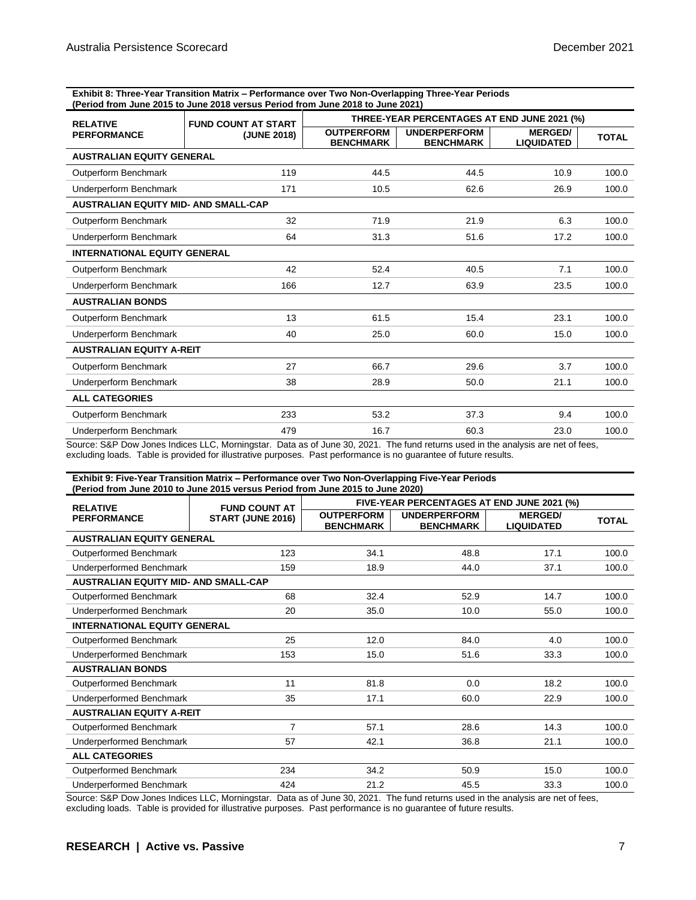**Exhibit 8: Three-Year Transition Matrix – Performance over Two Non-Overlapping Three-Year Periods (Period from June 2015 to June 2018 versus Period from June 2018 to June 2021)**

| <b>RELATIVE</b>                             | <b>FUND COUNT AT START</b> | THREE-YEAR PERCENTAGES AT END JUNE 2021 (%) |                                         |                                     |              |  |
|---------------------------------------------|----------------------------|---------------------------------------------|-----------------------------------------|-------------------------------------|--------------|--|
| <b>PERFORMANCE</b>                          | (JUNE 2018)                | <b>OUTPERFORM</b><br><b>BENCHMARK</b>       | <b>UNDERPERFORM</b><br><b>BENCHMARK</b> | <b>MERGED/</b><br><b>LIQUIDATED</b> | <b>TOTAL</b> |  |
| <b>AUSTRALIAN EQUITY GENERAL</b>            |                            |                                             |                                         |                                     |              |  |
| Outperform Benchmark                        | 119                        | 44.5                                        | 44.5                                    | 10.9                                | 100.0        |  |
| Underperform Benchmark                      | 171                        | 10.5                                        | 62.6                                    | 26.9                                | 100.0        |  |
| <b>AUSTRALIAN EQUITY MID- AND SMALL-CAP</b> |                            |                                             |                                         |                                     |              |  |
| Outperform Benchmark                        | 32                         | 71.9                                        | 21.9                                    | 6.3                                 | 100.0        |  |
| Underperform Benchmark                      | 64                         | 31.3                                        | 51.6                                    | 17.2                                | 100.0        |  |
| <b>INTERNATIONAL EQUITY GENERAL</b>         |                            |                                             |                                         |                                     |              |  |
| Outperform Benchmark                        | 42                         | 52.4                                        | 40.5                                    | 7.1                                 | 100.0        |  |
| Underperform Benchmark                      | 166                        | 12.7                                        | 63.9                                    | 23.5                                | 100.0        |  |
| <b>AUSTRALIAN BONDS</b>                     |                            |                                             |                                         |                                     |              |  |
| Outperform Benchmark                        | 13                         | 61.5                                        | 15.4                                    | 23.1                                | 100.0        |  |
| Underperform Benchmark                      | 40                         | 25.0                                        | 60.0                                    | 15.0                                | 100.0        |  |
| <b>AUSTRALIAN EQUITY A-REIT</b>             |                            |                                             |                                         |                                     |              |  |
| Outperform Benchmark                        | 27                         | 66.7                                        | 29.6                                    | 3.7                                 | 100.0        |  |
| Underperform Benchmark                      | 38                         | 28.9                                        | 50.0                                    | 21.1                                | 100.0        |  |
| <b>ALL CATEGORIES</b>                       |                            |                                             |                                         |                                     |              |  |
| Outperform Benchmark                        | 233                        | 53.2                                        | 37.3                                    | 9.4                                 | 100.0        |  |
| Underperform Benchmark                      | 479                        | 16.7                                        | 60.3                                    | 23.0                                | 100.0        |  |

Source: S&P Dow Jones Indices LLC, Morningstar. Data as of June 30, 2021. The fund returns used in the analysis are net of fees, excluding loads. Table is provided for illustrative purposes. Past performance is no guarantee of future results.

#### **Exhibit 9: Five-Year Transition Matrix – Performance over Two Non-Overlapping Five-Year Periods (Period from June 2010 to June 2015 versus Period from June 2015 to June 2020)**

| <b>RELATIVE</b>                             | <b>FUND COUNT AT</b> | FIVE-YEAR PERCENTAGES AT END JUNE 2021 (%) |                                         |                                     |              |  |
|---------------------------------------------|----------------------|--------------------------------------------|-----------------------------------------|-------------------------------------|--------------|--|
| <b>PERFORMANCE</b>                          | START (JUNE 2016)    | <b>OUTPERFORM</b><br><b>BENCHMARK</b>      | <b>UNDERPERFORM</b><br><b>BENCHMARK</b> | <b>MERGED/</b><br><b>LIQUIDATED</b> | <b>TOTAL</b> |  |
| <b>AUSTRALIAN EQUITY GENERAL</b>            |                      |                                            |                                         |                                     |              |  |
| Outperformed Benchmark                      | 123                  | 34.1                                       | 48.8                                    | 17.1                                | 100.0        |  |
| Underperformed Benchmark                    | 159                  | 18.9                                       | 44.0                                    | 37.1                                | 100.0        |  |
| <b>AUSTRALIAN EQUITY MID- AND SMALL-CAP</b> |                      |                                            |                                         |                                     |              |  |
| Outperformed Benchmark                      | 68                   | 32.4                                       | 52.9                                    | 14.7                                | 100.0        |  |
| Underperformed Benchmark                    | 20                   | 35.0                                       | 10.0                                    | 55.0                                | 100.0        |  |
| <b>INTERNATIONAL EQUITY GENERAL</b>         |                      |                                            |                                         |                                     |              |  |
| Outperformed Benchmark                      | 25                   | 12.0                                       | 84.0                                    | 4.0                                 | 100.0        |  |
| <b>Underperformed Benchmark</b>             | 153                  | 15.0                                       | 51.6                                    | 33.3                                | 100.0        |  |
| <b>AUSTRALIAN BONDS</b>                     |                      |                                            |                                         |                                     |              |  |
| Outperformed Benchmark                      | 11                   | 81.8                                       | 0.0                                     | 18.2                                | 100.0        |  |
| Underperformed Benchmark                    | 35                   | 17.1                                       | 60.0                                    | 22.9                                | 100.0        |  |
| <b>AUSTRALIAN EQUITY A-REIT</b>             |                      |                                            |                                         |                                     |              |  |
| Outperformed Benchmark                      | $\overline{7}$       | 57.1                                       | 28.6                                    | 14.3                                | 100.0        |  |
| <b>Underperformed Benchmark</b>             | 57                   | 42.1                                       | 36.8                                    | 21.1                                | 100.0        |  |
| <b>ALL CATEGORIES</b>                       |                      |                                            |                                         |                                     |              |  |
| <b>Outperformed Benchmark</b>               | 234                  | 34.2                                       | 50.9                                    | 15.0                                | 100.0        |  |
| <b>Underperformed Benchmark</b>             | 424                  | 21.2                                       | 45.5                                    | 33.3                                | 100.0        |  |

Source: S&P Dow Jones Indices LLC, Morningstar. Data as of June 30, 2021. The fund returns used in the analysis are net of fees, excluding loads. Table is provided for illustrative purposes. Past performance is no guarantee of future results.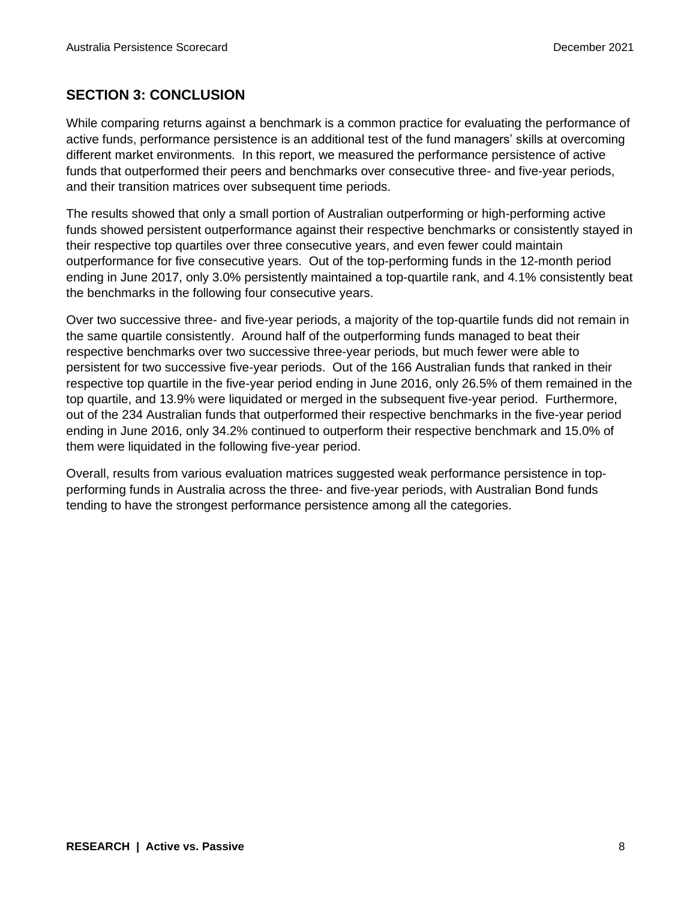## **SECTION 3: CONCLUSION**

While comparing returns against a benchmark is a common practice for evaluating the performance of active funds, performance persistence is an additional test of the fund managers' skills at overcoming different market environments. In this report, we measured the performance persistence of active funds that outperformed their peers and benchmarks over consecutive three- and five-year periods, and their transition matrices over subsequent time periods.

The results showed that only a small portion of Australian outperforming or high-performing active funds showed persistent outperformance against their respective benchmarks or consistently stayed in their respective top quartiles over three consecutive years, and even fewer could maintain outperformance for five consecutive years. Out of the top-performing funds in the 12-month period ending in June 2017, only 3.0% persistently maintained a top-quartile rank, and 4.1% consistently beat the benchmarks in the following four consecutive years.

Over two successive three- and five-year periods, a majority of the top-quartile funds did not remain in the same quartile consistently. Around half of the outperforming funds managed to beat their respective benchmarks over two successive three-year periods, but much fewer were able to persistent for two successive five-year periods. Out of the 166 Australian funds that ranked in their respective top quartile in the five-year period ending in June 2016, only 26.5% of them remained in the top quartile, and 13.9% were liquidated or merged in the subsequent five-year period. Furthermore, out of the 234 Australian funds that outperformed their respective benchmarks in the five-year period ending in June 2016, only 34.2% continued to outperform their respective benchmark and 15.0% of them were liquidated in the following five-year period.

Overall, results from various evaluation matrices suggested weak performance persistence in topperforming funds in Australia across the three- and five-year periods, with Australian Bond funds tending to have the strongest performance persistence among all the categories.